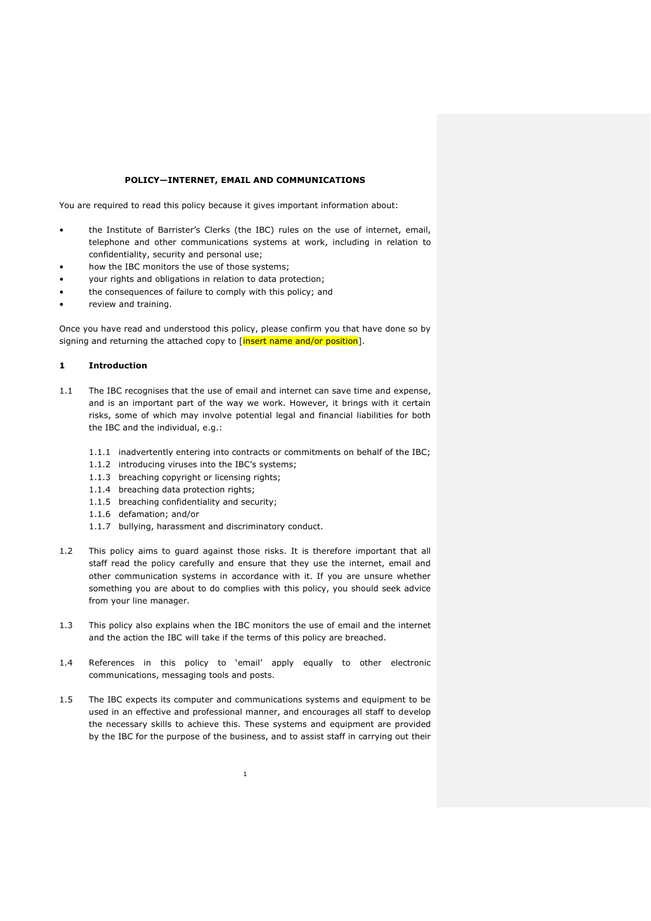#### **POLICY—INTERNET, EMAIL AND COMMUNICATIONS**

You are required to read this policy because it gives important information about:

- the Institute of Barrister's Clerks (the IBC) rules on the use of internet, email, telephone and other communications systems at work, including in relation to confidentiality, security and personal use;
- how the IBC monitors the use of those systems;
- your rights and obligations in relation to data protection;
- the consequences of failure to comply with this policy; and
- review and training.

Once you have read and understood this policy, please confirm you that have done so by signing and returning the attached copy to [insert name and/or position].

### **1 Introduction**

- 1.1 The IBC recognises that the use of email and internet can save time and expense, and is an important part of the way we work. However, it brings with it certain risks, some of which may involve potential legal and financial liabilities for both the IBC and the individual, e.g.:
	- 1.1.1 inadvertently entering into contracts or commitments on behalf of the IBC;
	- 1.1.2 introducing viruses into the IBC's systems;
	- 1.1.3 breaching copyright or licensing rights;
	- 1.1.4 breaching data protection rights;
	- 1.1.5 breaching confidentiality and security;
	- 1.1.6 defamation; and/or
	- 1.1.7 bullying, harassment and discriminatory conduct.
- 1.2 This policy aims to guard against those risks. It is therefore important that all staff read the policy carefully and ensure that they use the internet, email and other communication systems in accordance with it. If you are unsure whether something you are about to do complies with this policy, you should seek advice from your line manager.
- 1.3 This policy also explains when the IBC monitors the use of email and the internet and the action the IBC will take if the terms of this policy are breached.
- 1.4 References in this policy to 'email' apply equally to other electronic communications, messaging tools and posts.
- 1.5 The IBC expects its computer and communications systems and equipment to be used in an effective and professional manner, and encourages all staff to develop the necessary skills to achieve this. These systems and equipment are provided by the IBC for the purpose of the business, and to assist staff in carrying out their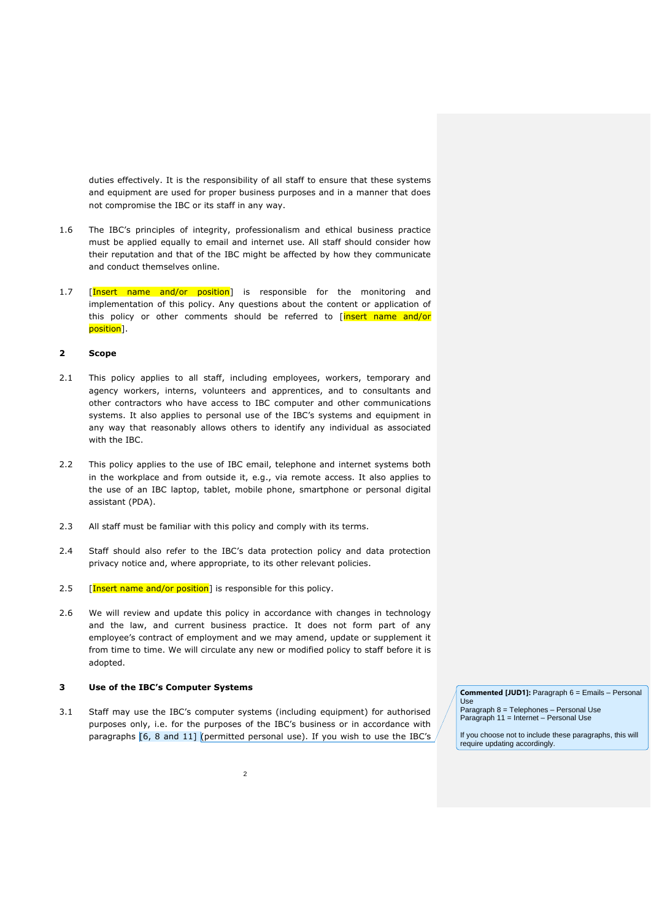duties effectively. It is the responsibility of all staff to ensure that these systems and equipment are used for proper business purposes and in a manner that does not compromise the IBC or its staff in any way.

- 1.6 The IBC's principles of integrity, professionalism and ethical business practice must be applied equally to email and internet use. All staff should consider how their reputation and that of the IBC might be affected by how they communicate and conduct themselves online.
- 1.7 [Insert name and/or position] is responsible for the monitoring and implementation of this policy. Any questions about the content or application of this policy or other comments should be referred to [insert name and/or position].

# **2 Scope**

- 2.1 This policy applies to all staff, including employees, workers, temporary and agency workers, interns, volunteers and apprentices, and to consultants and other contractors who have access to IBC computer and other communications systems. It also applies to personal use of the IBC's systems and equipment in any way that reasonably allows others to identify any individual as associated with the IBC.
- 2.2 This policy applies to the use of IBC email, telephone and internet systems both in the workplace and from outside it, e.g., via remote access. It also applies to the use of an IBC laptop, tablet, mobile phone, smartphone or personal digital assistant (PDA).
- 2.3 All staff must be familiar with this policy and comply with its terms.
- 2.4 Staff should also refer to the IBC's data protection policy and data protection privacy notice and, where appropriate, to its other relevant policies.
- 2.5 [Insert name and/or position] is responsible for this policy.
- 2.6 We will review and update this policy in accordance with changes in technology and the law, and current business practice. It does not form part of any employee's contract of employment and we may amend, update or supplement it from time to time. We will circulate any new or modified policy to staff before it is adopted.

# **3 Use of the IBC's Computer Systems**

3.1 Staff may use the IBC's computer systems (including equipment) for authorised purposes only, i.e. for the purposes of the IBC's business or in accordance with paragraphs [\[6,](#page-5-0) [8](#page-7-0) and [11\]](#page-10-0) (permitted personal use). If you wish to use the IBC's **Commented [JUD1]:** Paragraph 6 = Emails – Personal

Paragraph 8 = Telephones – Personal Use Paragraph 11 = Internet – Personal Use

Use

If you choose not to include these paragraphs, this will require updating accordingly.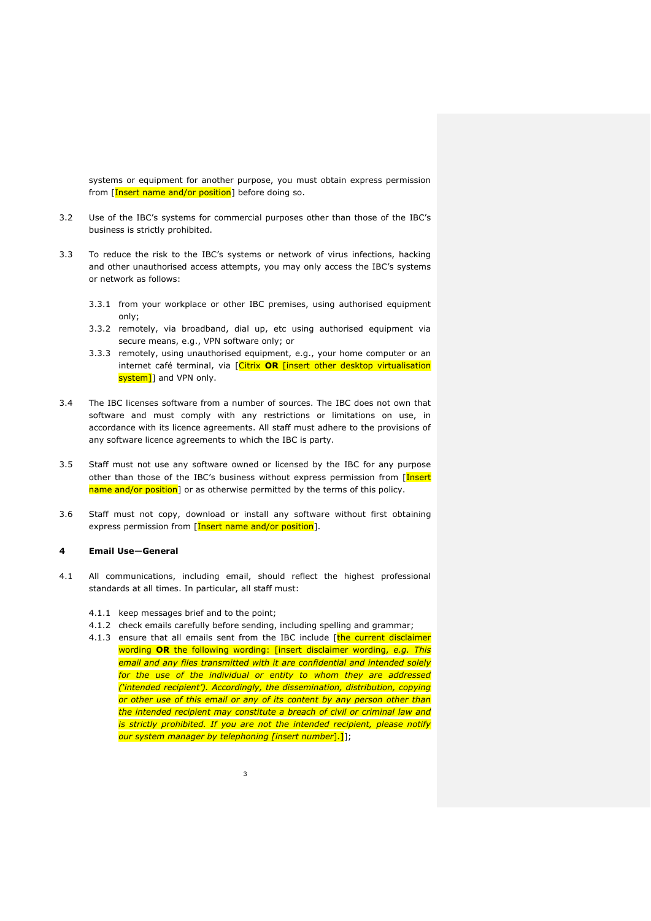systems or equipment for another purpose, you must obtain express permission from [Insert name and/or position] before doing so.

- 3.2 Use of the IBC's systems for commercial purposes other than those of the IBC's business is strictly prohibited.
- 3.3 To reduce the risk to the IBC's systems or network of virus infections, hacking and other unauthorised access attempts, you may only access the IBC's systems or network as follows:
	- 3.3.1 from your workplace or other IBC premises, using authorised equipment only;
	- 3.3.2 remotely, via broadband, dial up, etc using authorised equipment via secure means, e.g., VPN software only; or
	- 3.3.3 remotely, using unauthorised equipment, e.g., your home computer or an internet café terminal, via [Citrix **OR** [insert other desktop virtualisation system]] and VPN only.
- 3.4 The IBC licenses software from a number of sources. The IBC does not own that software and must comply with any restrictions or limitations on use, in accordance with its licence agreements. All staff must adhere to the provisions of any software licence agreements to which the IBC is party.
- 3.5 Staff must not use any software owned or licensed by the IBC for any purpose other than those of the IBC's business without express permission from [Insert name and/or position] or as otherwise permitted by the terms of this policy.
- 3.6 Staff must not copy, download or install any software without first obtaining express permission from [Insert name and/or position].

#### **4 Email Use—General**

- 4.1 All communications, including email, should reflect the highest professional standards at all times. In particular, all staff must:
	- 4.1.1 keep messages brief and to the point;
	- 4.1.2 check emails carefully before sending, including spelling and grammar;
	- 4.1.3 ensure that all emails sent from the IBC include [the current disclaimer wording **OR** the following wording: [insert disclaimer wording, *e.g. This email and any files transmitted with it are confidential and intended solely for the use of the individual or entity to whom they are addressed ('intended recipient'). Accordingly, the dissemination, distribution, copying or other use of this email or any of its content by any person other than the intended recipient may constitute a breach of civil or criminal law and is strictly prohibited. If you are not the intended recipient, please notify our system manager by telephoning [insert number*]*.*]];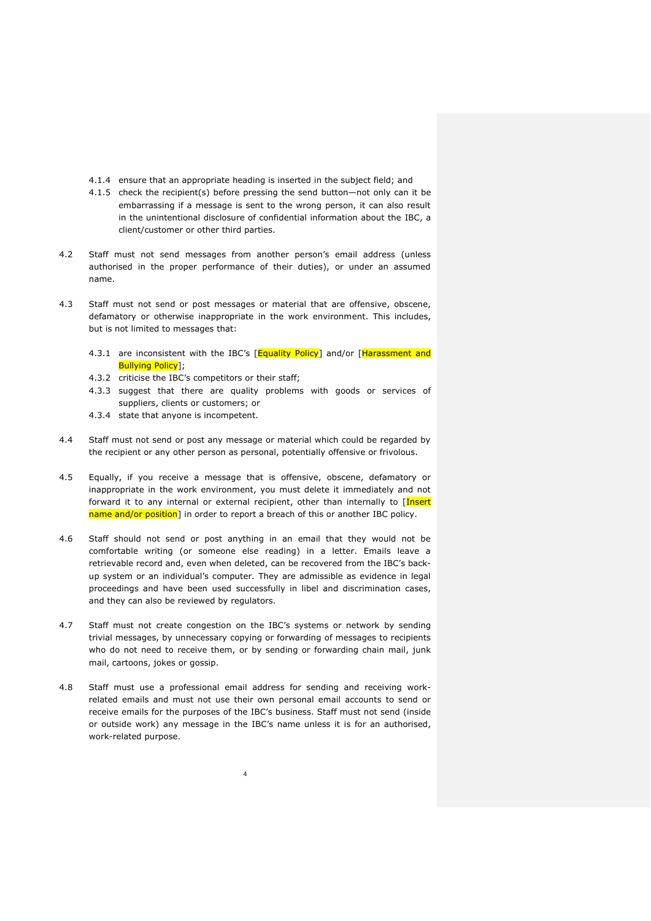- 4.1.4 ensure that an appropriate heading is inserted in the subject field; and
- 4.1.5 check the recipient(s) before pressing the send button—not only can it be embarrassing if a message is sent to the wrong person, it can also result in the unintentional disclosure of confidential information about the IBC, a client/customer or other third parties.
- 4.2 Staff must not send messages from another person's email address (unless authorised in the proper performance of their duties), or under an assumed name.
- 4.3 Staff must not send or post messages or material that are offensive, obscene, defamatory or otherwise inappropriate in the work environment. This includes, but is not limited to messages that:
	- 4.3.1 are inconsistent with the IBC's [Equality Policy] and/or [Harassment and Bullying Policy];
	- 4.3.2 criticise the IBC's competitors or their staff;
	- 4.3.3 suggest that there are quality problems with goods or services of suppliers, clients or customers; or
	- 4.3.4 state that anyone is incompetent.
- 4.4 Staff must not send or post any message or material which could be regarded by the recipient or any other person as personal, potentially offensive or frivolous.
- 4.5 Equally, if you receive a message that is offensive, obscene, defamatory or inappropriate in the work environment, you must delete it immediately and not forward it to any internal or external recipient, other than internally to [Insert name and/or position] in order to report a breach of this or another IBC policy.
- 4.6 Staff should not send or post anything in an email that they would not be comfortable writing (or someone else reading) in a letter. Emails leave a retrievable record and, even when deleted, can be recovered from the IBC's backup system or an individual's computer. They are admissible as evidence in legal proceedings and have been used successfully in libel and discrimination cases, and they can also be reviewed by regulators.
- 4.7 Staff must not create congestion on the IBC's systems or network by sending trivial messages, by unnecessary copying or forwarding of messages to recipients who do not need to receive them, or by sending or forwarding chain mail, junk mail, cartoons, jokes or gossip.
- 4.8 Staff must use a professional email address for sending and receiving workrelated emails and must not use their own personal email accounts to send or receive emails for the purposes of the IBC's business. Staff must not send (inside or outside work) any message in the IBC's name unless it is for an authorised, work-related purpose.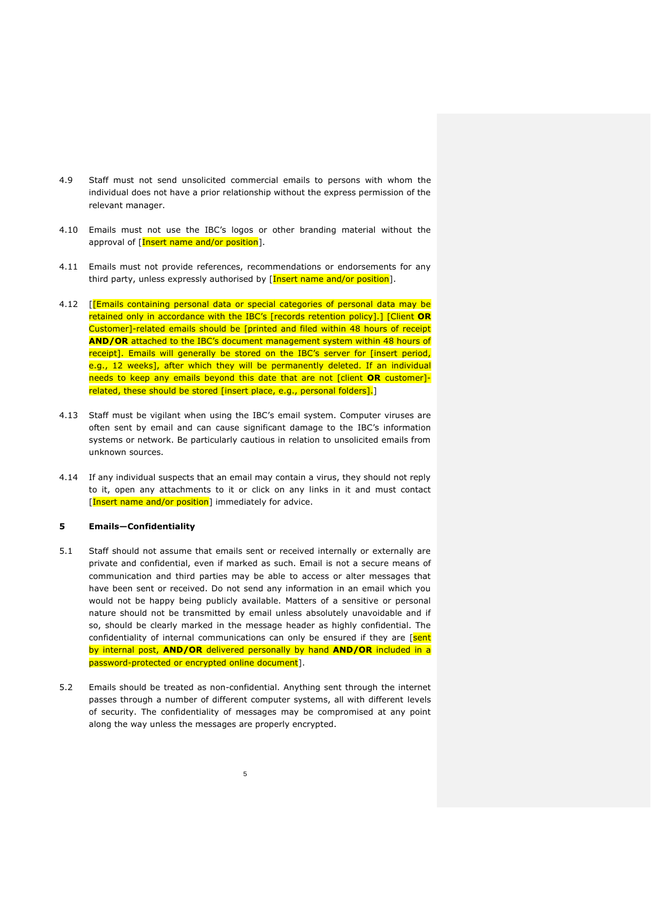- 4.9 Staff must not send unsolicited commercial emails to persons with whom the individual does not have a prior relationship without the express permission of the relevant manager.
- 4.10 Emails must not use the IBC's logos or other branding material without the approval of [Insert name and/or position].
- 4.11 Emails must not provide references, recommendations or endorsements for any third party, unless expressly authorised by [Insert name and/or position].
- 4.12 [[Emails containing personal data or special categories of personal data may be retained only in accordance with the IBC's [records retention policy].] [Client **OR** Customer]-related emails should be [printed and filed within 48 hours of receipt **AND/OR** attached to the IBC's document management system within 48 hours of receipt]. Emails will generally be stored on the IBC's server for [insert period, e.g., 12 weeks], after which they will be permanently deleted. If an individual needs to keep any emails beyond this date that are not [client **OR** customer] related, these should be stored [insert place, e.g., personal folders].]
- 4.13 Staff must be vigilant when using the IBC's email system. Computer viruses are often sent by email and can cause significant damage to the IBC's information systems or network. Be particularly cautious in relation to unsolicited emails from unknown sources.
- 4.14 If any individual suspects that an email may contain a virus, they should not reply to it, open any attachments to it or click on any links in it and must contact [Insert name and/or position] immediately for advice.

### **5 Emails—Confidentiality**

- 5.1 Staff should not assume that emails sent or received internally or externally are private and confidential, even if marked as such. Email is not a secure means of communication and third parties may be able to access or alter messages that have been sent or received. Do not send any information in an email which you would not be happy being publicly available. Matters of a sensitive or personal nature should not be transmitted by email unless absolutely unavoidable and if so, should be clearly marked in the message header as highly confidential. The confidentiality of internal communications can only be ensured if they are [sent by internal post, **AND/OR** delivered personally by hand **AND/OR** included in a password-protected or encrypted online document].
- 5.2 Emails should be treated as non-confidential. Anything sent through the internet passes through a number of different computer systems, all with different levels of security. The confidentiality of messages may be compromised at any point along the way unless the messages are properly encrypted.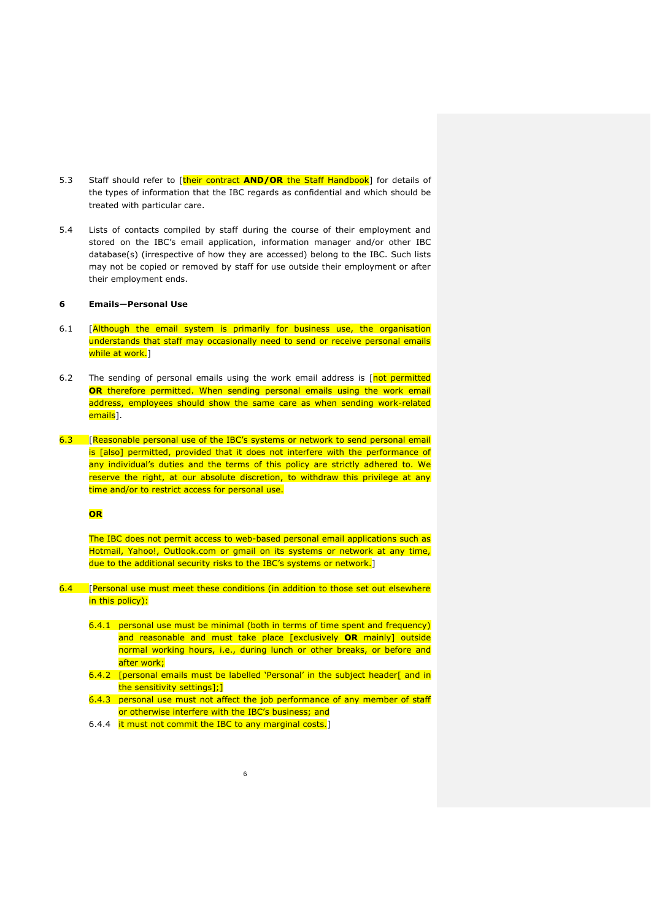- 5.3 Staff should refer to [their contract **AND/OR** the Staff Handbook] for details of the types of information that the IBC regards as confidential and which should be treated with particular care.
- 5.4 Lists of contacts compiled by staff during the course of their employment and stored on the IBC's email application, information manager and/or other IBC database(s) (irrespective of how they are accessed) belong to the IBC. Such lists may not be copied or removed by staff for use outside their employment or after their employment ends.

# <span id="page-5-0"></span>**6 Emails—Personal Use**

- 6.1 [Although the email system is primarily for business use, the organisation understands that staff may occasionally need to send or receive personal emails while at work.<sup>]</sup>
- 6.2 The sending of personal emails using the work email address is [not permitted **OR** therefore permitted. When sending personal emails using the work email address, employees should show the same care as when sending work-related emails<sup>1</sup>.
- 6.3 [Reasonable personal use of the IBC's systems or network to send personal email is [also] permitted, provided that it does not interfere with the performance of any individual's duties and the terms of this policy are strictly adhered to. We reserve the right, at our absolute discretion, to withdraw this privilege at any time and/or to restrict access for personal use.

# **OR**

The IBC does not permit access to web-based personal email applications such as Hotmail, Yahoo!, Outlook.com or gmail on its systems or network at any time, due to the additional security risks to the IBC's systems or network.]

- 6.4 [Personal use must meet these conditions (in addition to those set out elsewhere in this policy):
	- 6.4.1 personal use must be minimal (both in terms of time spent and frequency) and reasonable and must take place [exclusively **OR** mainly] outside normal working hours, i.e., during lunch or other breaks, or before and after work;
	- 6.4.2 [personal emails must be labelled 'Personal' in the subject header[ and in the sensitivity settings];]
	- 6.4.3 personal use must not affect the job performance of any member of staff or otherwise interfere with the IBC's business; and

6

6.4.4 it must not commit the IBC to any marginal costs.]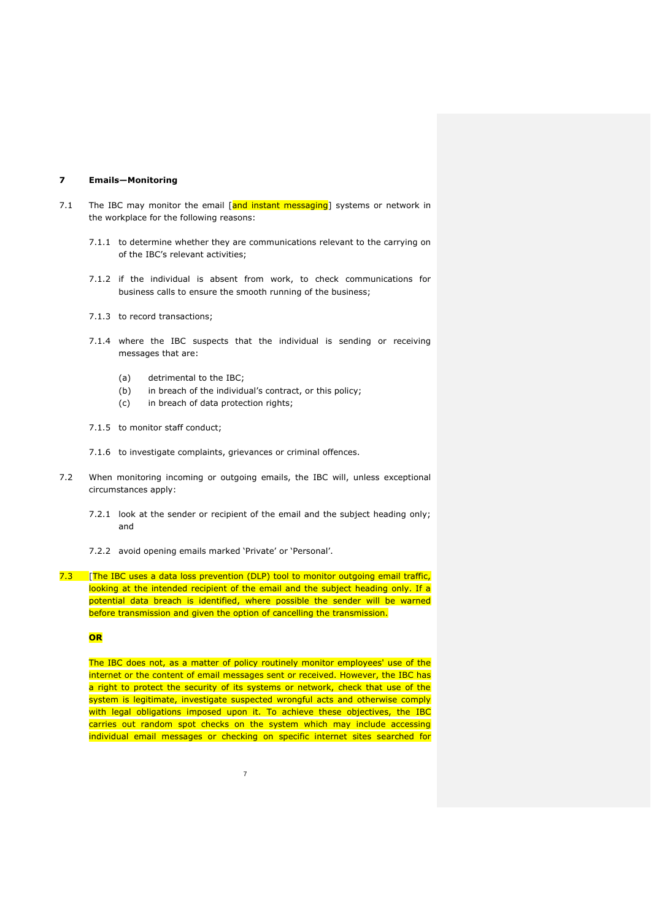#### **7 Emails—Monitoring**

- 7.1 The IBC may monitor the email  $\left[\right]$  and instant messaging systems or network in the workplace for the following reasons:
	- 7.1.1 to determine whether they are communications relevant to the carrying on of the IBC's relevant activities;
	- 7.1.2 if the individual is absent from work, to check communications for business calls to ensure the smooth running of the business;
	- 7.1.3 to record transactions;
	- 7.1.4 where the IBC suspects that the individual is sending or receiving messages that are:
		- (a) detrimental to the IBC;
		- (b) in breach of the individual's contract, or this policy;
		- (c) in breach of data protection rights;
	- 7.1.5 to monitor staff conduct;
	- 7.1.6 to investigate complaints, grievances or criminal offences.
- 7.2 When monitoring incoming or outgoing emails, the IBC will, unless exceptional circumstances apply:
	- 7.2.1 look at the sender or recipient of the email and the subject heading only; and
	- 7.2.2 avoid opening emails marked 'Private' or 'Personal'.

7.3 [The IBC uses a data loss prevention (DLP) tool to monitor outgoing email traffic, looking at the intended recipient of the email and the subject heading only. If a potential data breach is identified, where possible the sender will be warned before transmission and given the option of cancelling the transmission.

### **OR**

The IBC does not, as a matter of policy routinely monitor employees' use of the internet or the content of email messages sent or received. However, the IBC has a right to protect the security of its systems or network, check that use of the system is legitimate, investigate suspected wrongful acts and otherwise comply with legal obligations imposed upon it. To achieve these objectives, the IBC carries out random spot checks on the system which may include accessing individual email messages or checking on specific internet sites searched for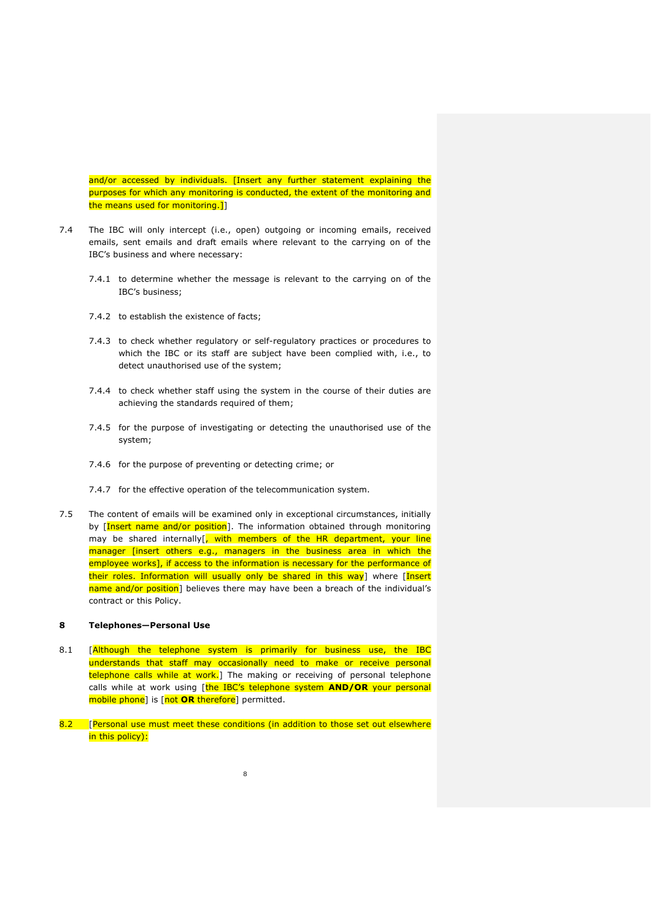and/or accessed by individuals. [Insert any further statement explaining the purposes for which any monitoring is conducted, the extent of the monitoring and the means used for monitoring.]]

- 7.4 The IBC will only intercept (i.e., open) outgoing or incoming emails, received emails, sent emails and draft emails where relevant to the carrying on of the IBC's business and where necessary:
	- 7.4.1 to determine whether the message is relevant to the carrying on of the IBC's business;
	- 7.4.2 to establish the existence of facts;
	- 7.4.3 to check whether regulatory or self-regulatory practices or procedures to which the IBC or its staff are subject have been complied with, i.e., to detect unauthorised use of the system;
	- 7.4.4 to check whether staff using the system in the course of their duties are achieving the standards required of them;
	- 7.4.5 for the purpose of investigating or detecting the unauthorised use of the system;
	- 7.4.6 for the purpose of preventing or detecting crime; or
	- 7.4.7 for the effective operation of the telecommunication system.
- 7.5 The content of emails will be examined only in exceptional circumstances, initially by [Insert name and/or position]. The information obtained through monitoring may be shared internally<sup>[</sup>, with members of the HR department, your line manager [insert others e.g., managers in the business area in which the employee works], if access to the information is necessary for the performance of their roles. Information will usually only be shared in this way] where [Insert name and/or position] believes there may have been a breach of the individual's contract or this Policy.

#### <span id="page-7-0"></span>**8 Telephones—Personal Use**

- 8.1 [Although the telephone system is primarily for business use, the IBC understands that staff may occasionally need to make or receive personal telephone calls while at work.] The making or receiving of personal telephone calls while at work using [the IBC's telephone system **AND/OR** your personal mobile phone] is [not **OR** therefore] permitted.
- 8.2 [Personal use must meet these conditions (in addition to those set out elsewhere in this policy):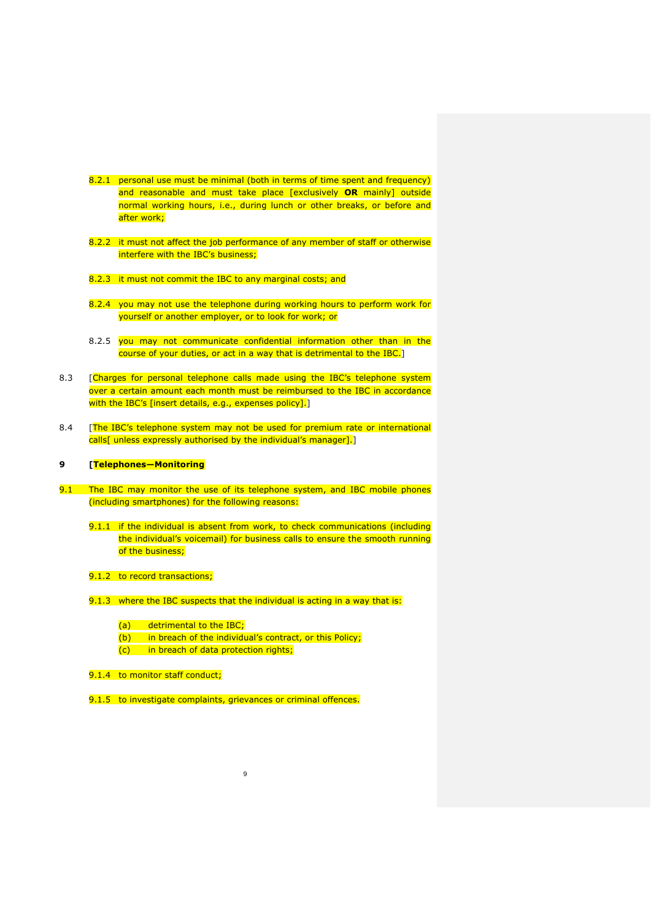- 8.2.1 personal use must be minimal (both in terms of time spent and frequency) and reasonable and must take place [exclusively **OR** mainly] outside normal working hours, i.e., during lunch or other breaks, or before and after work;
- 8.2.2 it must not affect the job performance of any member of staff or otherwise interfere with the IBC's business;
- 8.2.3 it must not commit the IBC to any marginal costs; and
- 8.2.4 you may not use the telephone during working hours to perform work for yourself or another employer, or to look for work; or
- 8.2.5 you may not communicate confidential information other than in the course of your duties, or act in a way that is detrimental to the IBC.]
- 8.3 [Charges for personal telephone calls made using the IBC's telephone system over a certain amount each month must be reimbursed to the IBC in accordance with the IBC's [insert details, e.g., expenses policy].]
- 8.4 [The IBC's telephone system may not be used for premium rate or international calls[ unless expressly authorised by the individual's manager].

# **9 [Telephones—Monitoring**

- 9.1 The IBC may monitor the use of its telephone system, and IBC mobile phones (including smartphones) for the following reasons:
	- 9.1.1 if the individual is absent from work, to check communications (including the individual's voicemail) for business calls to ensure the smooth running of the business;
	- 9.1.2 to record transactions;
	- 9.1.3 where the IBC suspects that the individual is acting in a way that is:
		- (a) detrimental to the IBC;
		- (b) in breach of the individual's contract, or this Policy;

- (c) in breach of data protection rights;
- 9.1.4 to monitor staff conduct;
- 9.1.5 to investigate complaints, grievances or criminal offences.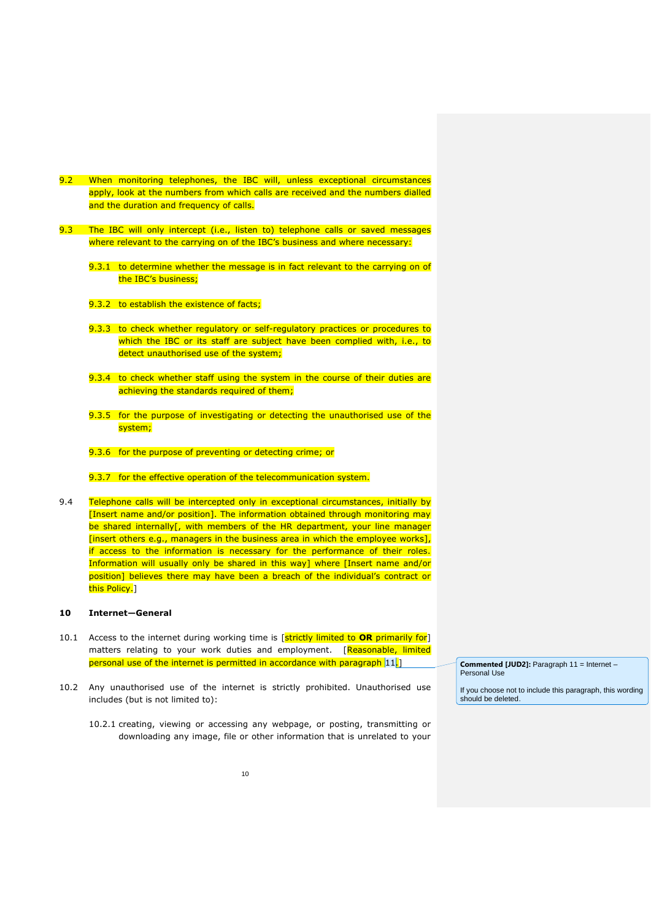- 9.2 When monitoring telephones, the IBC will, unless exceptional circumstances apply, look at the numbers from which calls are received and the numbers dialled and the duration and frequency of calls.
- 9.3 The IBC will only intercept (i.e., listen to) telephone calls or saved messages where relevant to the carrying on of the IBC's business and where necessary:
	- 9.3.1 to determine whether the message is in fact relevant to the carrying on of the IBC's business;
	- 9.3.2 to establish the existence of facts;
	- 9.3.3 to check whether regulatory or self-regulatory practices or procedures to which the IBC or its staff are subject have been complied with, i.e., to detect unauthorised use of the system;
	- 9.3.4 to check whether staff using the system in the course of their duties are achieving the standards required of them;
	- 9.3.5 for the purpose of investigating or detecting the unauthorised use of the system;
	- 9.3.6 for the purpose of preventing or detecting crime; or
	- 9.3.7 for the effective operation of the telecommunication system.
- 9.4 Telephone calls will be intercepted only in exceptional circumstances, initially by [Insert name and/or position]. The information obtained through monitoring may be shared internally[, with members of the HR department, your line manager [insert others e.g., managers in the business area in which the employee works], if access to the information is necessary for the performance of their roles. Information will usually only be shared in this way] where [Insert name and/or position] believes there may have been a breach of the individual's contract or this Policy.]

#### **10 Internet—General**

- 10.1 Access to the internet during working time is [strictly limited to **OR** primarily for] matters relating to your work duties and employment. [Reasonable, limited personal use of the internet is permitted in accordance with paragraph [11.]
- <span id="page-9-0"></span>10.2 Any unauthorised use of the internet is strictly prohibited. Unauthorised use includes (but is not limited to):
	- 10.2.1 creating, viewing or accessing any webpage, or posting, transmitting or downloading any image, file or other information that is unrelated to your

**Commented [JUD2]:** Paragraph 11 = Internet – Personal Use

If you choose not to include this paragraph, this wording should be deleted.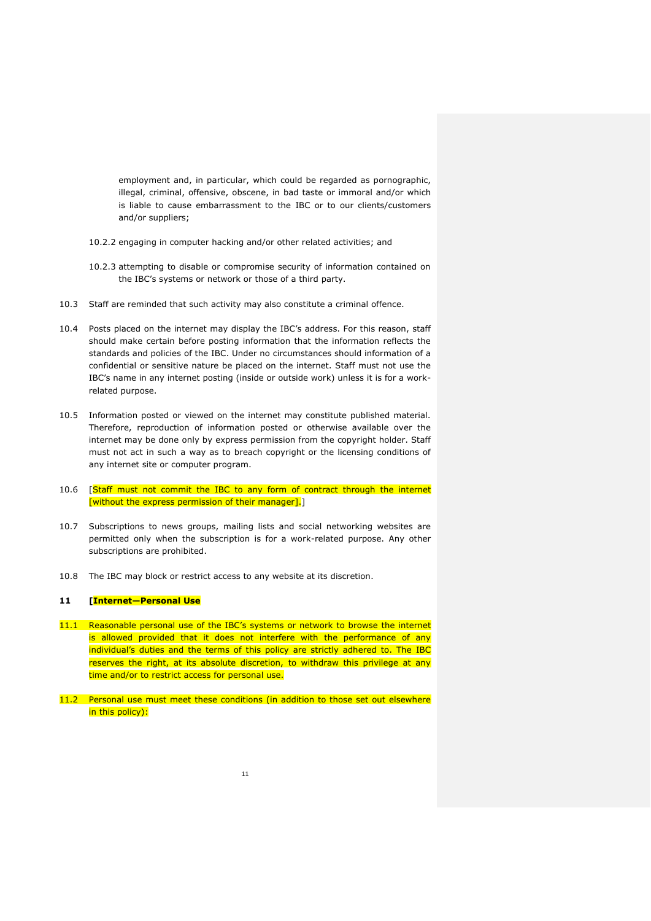employment and, in particular, which could be regarded as pornographic, illegal, criminal, offensive, obscene, in bad taste or immoral and/or which is liable to cause embarrassment to the IBC or to our clients/customers and/or suppliers;

- 10.2.2 engaging in computer hacking and/or other related activities; and
- 10.2.3 attempting to disable or compromise security of information contained on the IBC's systems or network or those of a third party.
- 10.3 Staff are reminded that such activity may also constitute a criminal offence.
- 10.4 Posts placed on the internet may display the IBC's address. For this reason, staff should make certain before posting information that the information reflects the standards and policies of the IBC. Under no circumstances should information of a confidential or sensitive nature be placed on the internet. Staff must not use the IBC's name in any internet posting (inside or outside work) unless it is for a workrelated purpose.
- 10.5 Information posted or viewed on the internet may constitute published material. Therefore, reproduction of information posted or otherwise available over the internet may be done only by express permission from the copyright holder. Staff must not act in such a way as to breach copyright or the licensing conditions of any internet site or computer program.
- 10.6 [Staff must not commit the IBC to any form of contract through the internet [without the express permission of their manager].]
- 10.7 Subscriptions to news groups, mailing lists and social networking websites are permitted only when the subscription is for a work-related purpose. Any other subscriptions are prohibited.
- 10.8 The IBC may block or restrict access to any website at its discretion.

#### <span id="page-10-0"></span>**11 [Internet—Personal Use**

- 11.1 Reasonable personal use of the IBC's systems or network to browse the internet is allowed provided that it does not interfere with the performance of any individual's duties and the terms of this policy are strictly adhered to. The IBC reserves the right, at its absolute discretion, to withdraw this privilege at any time and/or to restrict access for personal use.
- 11.2 Personal use must meet these conditions (in addition to those set out elsewhere in this policy):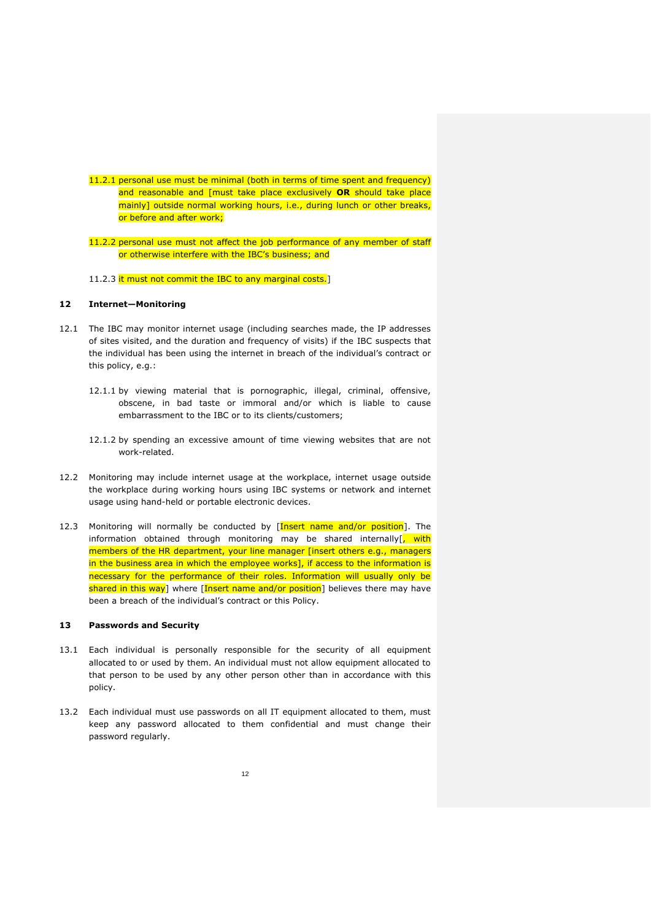- 11.2.1 personal use must be minimal (both in terms of time spent and frequency) and reasonable and [must take place exclusively **OR** should take place mainly] outside normal working hours, i.e., during lunch or other breaks, or before and after work;
- 11.2.2 personal use must not affect the job performance of any member of staff or otherwise interfere with the IBC's business; and
- 11.2.3 it must not commit the IBC to any marginal costs.]

# **12 Internet—Monitoring**

- 12.1 The IBC may monitor internet usage (including searches made, the IP addresses of sites visited, and the duration and frequency of visits) if the IBC suspects that the individual has been using the internet in breach of the individual's contract or this policy, e.g.:
	- 12.1.1 by viewing material that is pornographic, illegal, criminal, offensive, obscene, in bad taste or immoral and/or which is liable to cause embarrassment to the IBC or to its clients/customers;
	- 12.1.2 by spending an excessive amount of time viewing websites that are not work-related.
- 12.2 Monitoring may include internet usage at the workplace, internet usage outside the workplace during working hours using IBC systems or network and internet usage using hand-held or portable electronic devices.
- 12.3 Monitoring will normally be conducted by [Insert name and/or position]. The information obtained through monitoring may be shared internally<sup>[</sup>, with members of the HR department, your line manager [insert others e.g., managers in the business area in which the employee works], if access to the information is necessary for the performance of their roles. Information will usually only be shared in this way] where [Insert name and/or position] believes there may have been a breach of the individual's contract or this Policy.

### **13 Passwords and Security**

- 13.1 Each individual is personally responsible for the security of all equipment allocated to or used by them. An individual must not allow equipment allocated to that person to be used by any other person other than in accordance with this policy.
- 13.2 Each individual must use passwords on all IT equipment allocated to them, must keep any password allocated to them confidential and must change their password regularly.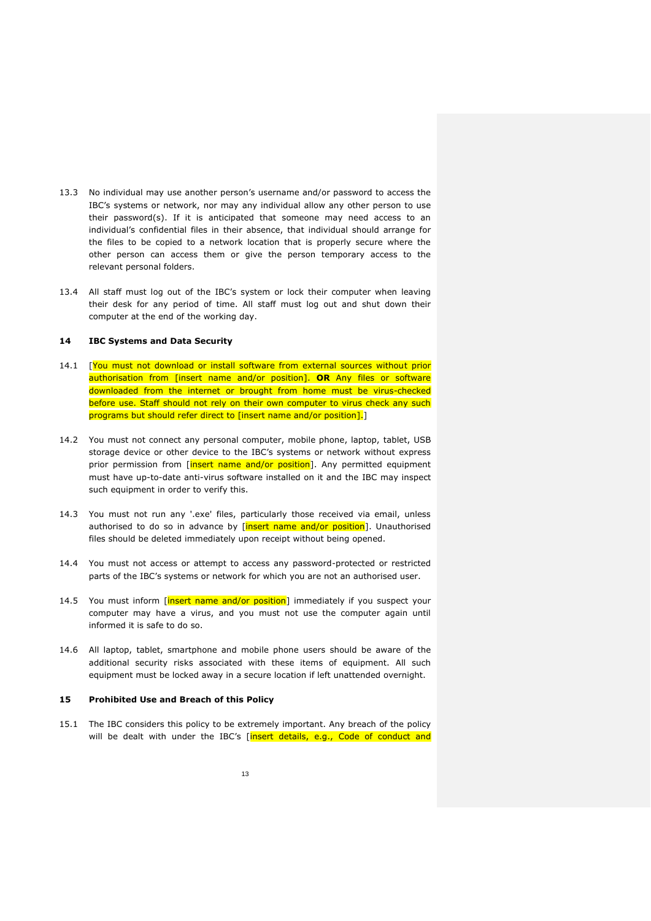- 13.3 No individual may use another person's username and/or password to access the IBC's systems or network, nor may any individual allow any other person to use their password(s). If it is anticipated that someone may need access to an individual's confidential files in their absence, that individual should arrange for the files to be copied to a network location that is properly secure where the other person can access them or give the person temporary access to the relevant personal folders.
- 13.4 All staff must log out of the IBC's system or lock their computer when leaving their desk for any period of time. All staff must log out and shut down their computer at the end of the working day.

### **14 IBC Systems and Data Security**

- 14.1 [You must not download or install software from external sources without prior authorisation from [insert name and/or position]. **OR** Any files or software downloaded from the internet or brought from home must be virus-checked before use. Staff should not rely on their own computer to virus check any such programs but should refer direct to [insert name and/or position].]
- 14.2 You must not connect any personal computer, mobile phone, laptop, tablet, USB storage device or other device to the IBC's systems or network without express prior permission from [insert name and/or position]. Any permitted equipment must have up-to-date anti-virus software installed on it and the IBC may inspect such equipment in order to verify this.
- 14.3 You must not run any '.exe' files, particularly those received via email, unless authorised to do so in advance by [insert name and/or position]. Unauthorised files should be deleted immediately upon receipt without being opened.
- 14.4 You must not access or attempt to access any password-protected or restricted parts of the IBC's systems or network for which you are not an authorised user.
- 14.5 You must inform [insert name and/or position] immediately if you suspect your computer may have a virus, and you must not use the computer again until informed it is safe to do so.
- 14.6 All laptop, tablet, smartphone and mobile phone users should be aware of the additional security risks associated with these items of equipment. All such equipment must be locked away in a secure location if left unattended overnight.

### **15 Prohibited Use and Breach of this Policy**

15.1 The IBC considers this policy to be extremely important. Any breach of the policy will be dealt with under the IBC's [insert details, e.g., Code of conduct and